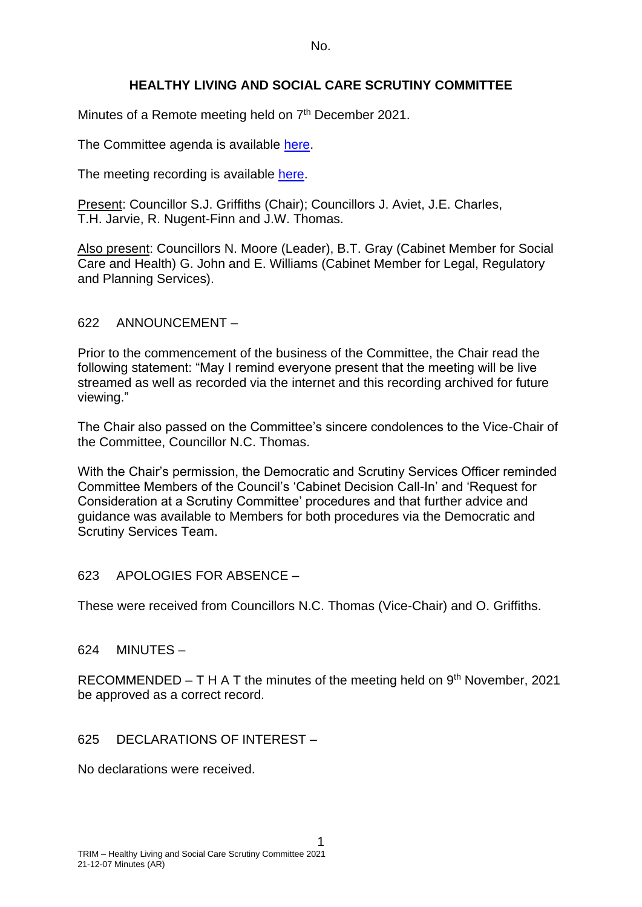No.

# **HEALTHY LIVING AND SOCIAL CARE SCRUTINY COMMITTEE**

Minutes of a Remote meeting held on 7<sup>th</sup> December 2021.

The Committee agenda is available [here.](https://www.valeofglamorgan.gov.uk/en/our_council/Council-Structure/minutes,_agendas_and_reports/agendas/Scrutiny-HLSC/2021/21-12-07.aspx)

The meeting recording is available [here.](https://www.youtube.com/watch?v=lVsuTkjoi1w&list=PLzt4i14pgqIEm1ttoE4sJV3ONGKrZxv4w&index=1)

Present: Councillor S.J. Griffiths (Chair); Councillors J. Aviet, J.E. Charles, T.H. Jarvie, R. Nugent-Finn and J.W. Thomas.

Also present: Councillors N. Moore (Leader), B.T. Gray (Cabinet Member for Social Care and Health) G. John and E. Williams (Cabinet Member for Legal, Regulatory and Planning Services).

### 622 ANNOUNCEMENT –

Prior to the commencement of the business of the Committee, the Chair read the following statement: "May I remind everyone present that the meeting will be live streamed as well as recorded via the internet and this recording archived for future viewing."

The Chair also passed on the Committee's sincere condolences to the Vice-Chair of the Committee, Councillor N.C. Thomas.

With the Chair's permission, the Democratic and Scrutiny Services Officer reminded Committee Members of the Council's 'Cabinet Decision Call-In' and 'Request for Consideration at a Scrutiny Committee' procedures and that further advice and guidance was available to Members for both procedures via the Democratic and Scrutiny Services Team.

623 APOLOGIES FOR ABSENCE –

These were received from Councillors N.C. Thomas (Vice-Chair) and O. Griffiths.

624 MINUTES –

RECOMMENDED  $- T H A T$  the minutes of the meeting held on  $9<sup>th</sup>$  November, 2021 be approved as a correct record.

## 625 DECLARATIONS OF INTEREST –

No declarations were received.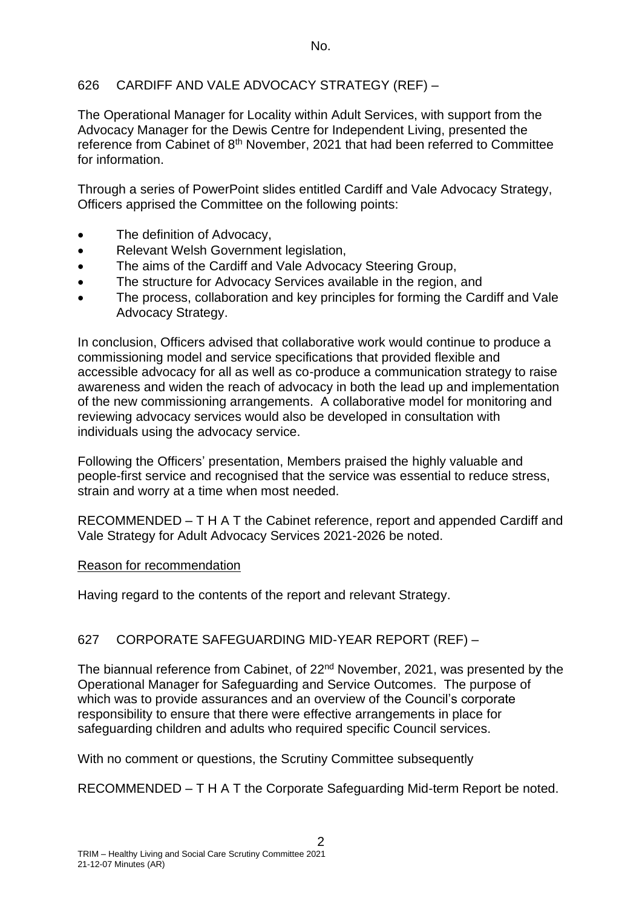## 626 CARDIFF AND VALE ADVOCACY STRATEGY (REF) –

The Operational Manager for Locality within Adult Services, with support from the Advocacy Manager for the Dewis Centre for Independent Living, presented the reference from Cabinet of 8<sup>th</sup> November, 2021 that had been referred to Committee for information.

Through a series of PowerPoint slides entitled Cardiff and Vale Advocacy Strategy, Officers apprised the Committee on the following points:

- The definition of Advocacy.
- Relevant Welsh Government legislation,
- The aims of the Cardiff and Vale Advocacy Steering Group,
- The structure for Advocacy Services available in the region, and
- The process, collaboration and key principles for forming the Cardiff and Vale Advocacy Strategy.

In conclusion, Officers advised that collaborative work would continue to produce a commissioning model and service specifications that provided flexible and accessible advocacy for all as well as co-produce a communication strategy to raise awareness and widen the reach of advocacy in both the lead up and implementation of the new commissioning arrangements. A collaborative model for monitoring and reviewing advocacy services would also be developed in consultation with individuals using the advocacy service.

Following the Officers' presentation, Members praised the highly valuable and people-first service and recognised that the service was essential to reduce stress, strain and worry at a time when most needed.

RECOMMENDED – T H A T the Cabinet reference, report and appended Cardiff and Vale Strategy for Adult Advocacy Services 2021-2026 be noted.

## Reason for recommendation

Having regard to the contents of the report and relevant Strategy.

# 627 CORPORATE SAFEGUARDING MID-YEAR REPORT (REF) –

The biannual reference from Cabinet, of 22nd November, 2021, was presented by the Operational Manager for Safeguarding and Service Outcomes. The purpose of which was to provide assurances and an overview of the Council's corporate responsibility to ensure that there were effective arrangements in place for safeguarding children and adults who required specific Council services.

With no comment or questions, the Scrutiny Committee subsequently

RECOMMENDED – T H A T the Corporate Safeguarding Mid-term Report be noted.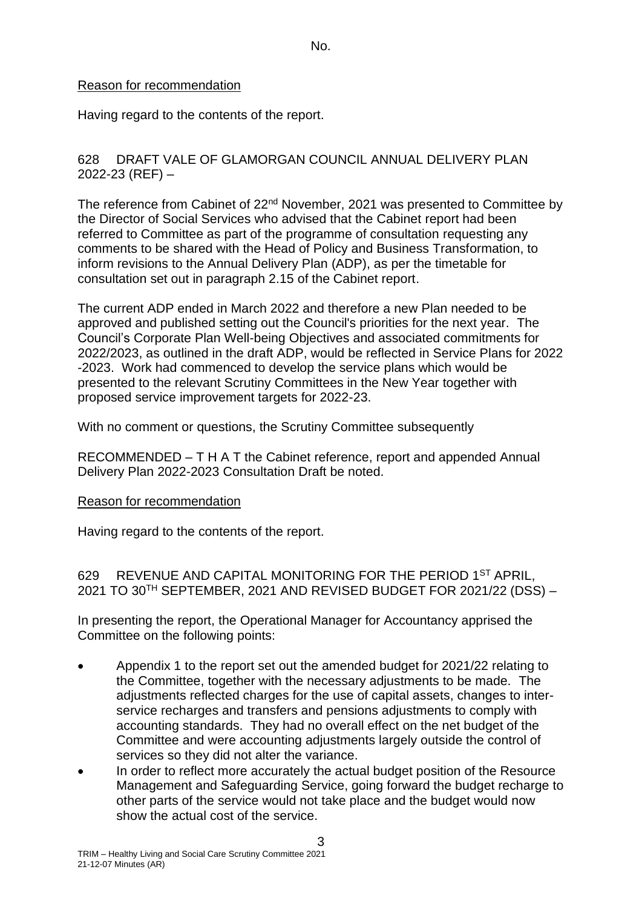### Reason for recommendation

Having regard to the contents of the report.

### 628 DRAFT VALE OF GLAMORGAN COUNCIL ANNUAL DELIVERY PLAN 2022-23 (REF) –

The reference from Cabinet of 22<sup>nd</sup> November, 2021 was presented to Committee by the Director of Social Services who advised that the Cabinet report had been referred to Committee as part of the programme of consultation requesting any comments to be shared with the Head of Policy and Business Transformation, to inform revisions to the Annual Delivery Plan (ADP), as per the timetable for consultation set out in paragraph 2.15 of the Cabinet report.

The current ADP ended in March 2022 and therefore a new Plan needed to be approved and published setting out the Council's priorities for the next year. The Council's Corporate Plan Well-being Objectives and associated commitments for 2022/2023, as outlined in the draft ADP, would be reflected in Service Plans for 2022 -2023. Work had commenced to develop the service plans which would be presented to the relevant Scrutiny Committees in the New Year together with proposed service improvement targets for 2022-23.

With no comment or questions, the Scrutiny Committee subsequently

RECOMMENDED – T H A T the Cabinet reference, report and appended Annual Delivery Plan 2022-2023 Consultation Draft be noted.

#### Reason for recommendation

Having regard to the contents of the report.

629 REVENUE AND CAPITAL MONITORING FOR THE PERIOD 1ST APRIL, 2021 TO 30TH SEPTEMBER, 2021 AND REVISED BUDGET FOR 2021/22 (DSS) –

In presenting the report, the Operational Manager for Accountancy apprised the Committee on the following points:

- Appendix 1 to the report set out the amended budget for 2021/22 relating to the Committee, together with the necessary adjustments to be made. The adjustments reflected charges for the use of capital assets, changes to interservice recharges and transfers and pensions adjustments to comply with accounting standards. They had no overall effect on the net budget of the Committee and were accounting adjustments largely outside the control of services so they did not alter the variance.
- In order to reflect more accurately the actual budget position of the Resource Management and Safeguarding Service, going forward the budget recharge to other parts of the service would not take place and the budget would now show the actual cost of the service.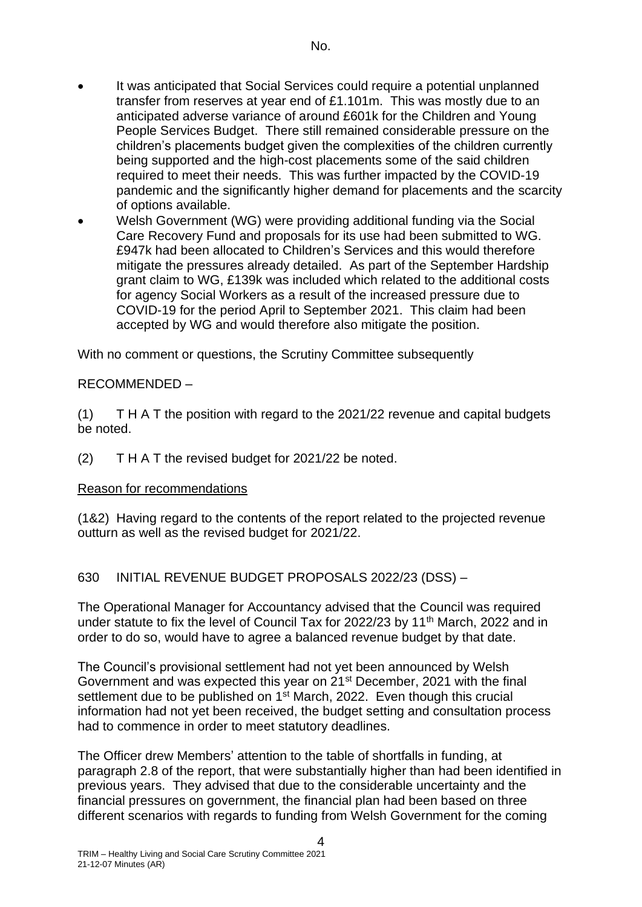- It was anticipated that Social Services could require a potential unplanned transfer from reserves at year end of £1.101m. This was mostly due to an anticipated adverse variance of around £601k for the Children and Young People Services Budget. There still remained considerable pressure on the children's placements budget given the complexities of the children currently being supported and the high-cost placements some of the said children required to meet their needs. This was further impacted by the COVID-19 pandemic and the significantly higher demand for placements and the scarcity of options available.
- Welsh Government (WG) were providing additional funding via the Social Care Recovery Fund and proposals for its use had been submitted to WG. £947k had been allocated to Children's Services and this would therefore mitigate the pressures already detailed. As part of the September Hardship grant claim to WG, £139k was included which related to the additional costs for agency Social Workers as a result of the increased pressure due to COVID-19 for the period April to September 2021. This claim had been accepted by WG and would therefore also mitigate the position.

With no comment or questions, the Scrutiny Committee subsequently

### RECOMMENDED –

(1) T H A T the position with regard to the 2021/22 revenue and capital budgets be noted.

(2) T H A T the revised budget for 2021/22 be noted.

#### Reason for recommendations

(1&2) Having regard to the contents of the report related to the projected revenue outturn as well as the revised budget for 2021/22.

630 INITIAL REVENUE BUDGET PROPOSALS 2022/23 (DSS) –

The Operational Manager for Accountancy advised that the Council was required under statute to fix the level of Council Tax for 2022/23 by 11<sup>th</sup> March, 2022 and in order to do so, would have to agree a balanced revenue budget by that date.

The Council's provisional settlement had not yet been announced by Welsh Government and was expected this year on 21<sup>st</sup> December, 2021 with the final settlement due to be published on 1<sup>st</sup> March, 2022. Even though this crucial information had not yet been received, the budget setting and consultation process had to commence in order to meet statutory deadlines.

The Officer drew Members' attention to the table of shortfalls in funding, at paragraph 2.8 of the report, that were substantially higher than had been identified in previous years. They advised that due to the considerable uncertainty and the financial pressures on government, the financial plan had been based on three different scenarios with regards to funding from Welsh Government for the coming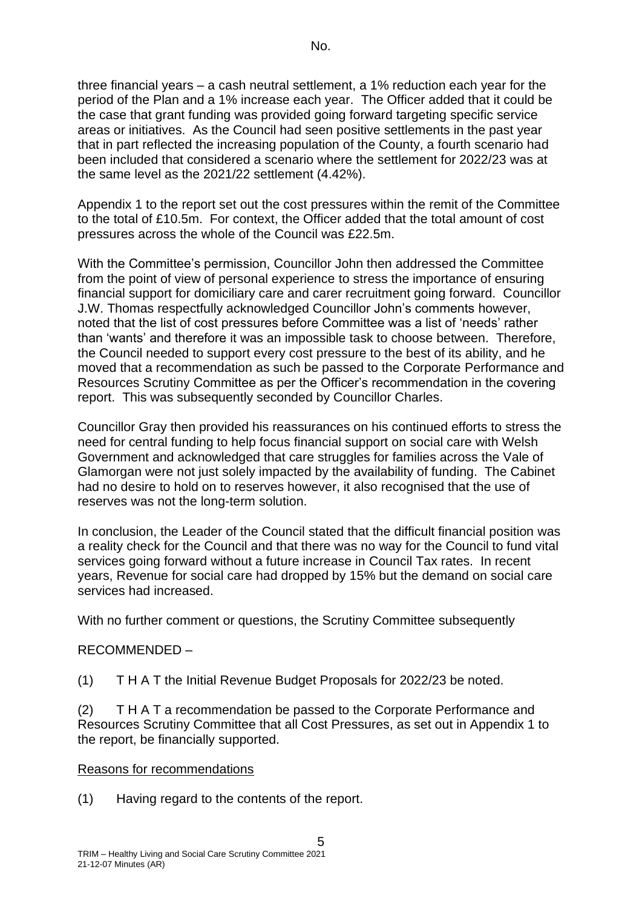three financial years – a cash neutral settlement, a 1% reduction each year for the period of the Plan and a 1% increase each year. The Officer added that it could be the case that grant funding was provided going forward targeting specific service areas or initiatives. As the Council had seen positive settlements in the past year that in part reflected the increasing population of the County, a fourth scenario had been included that considered a scenario where the settlement for 2022/23 was at the same level as the 2021/22 settlement (4.42%).

Appendix 1 to the report set out the cost pressures within the remit of the Committee to the total of £10.5m. For context, the Officer added that the total amount of cost pressures across the whole of the Council was £22.5m.

With the Committee's permission, Councillor John then addressed the Committee from the point of view of personal experience to stress the importance of ensuring financial support for domiciliary care and carer recruitment going forward. Councillor J.W. Thomas respectfully acknowledged Councillor John's comments however, noted that the list of cost pressures before Committee was a list of 'needs' rather than 'wants' and therefore it was an impossible task to choose between. Therefore, the Council needed to support every cost pressure to the best of its ability, and he moved that a recommendation as such be passed to the Corporate Performance and Resources Scrutiny Committee as per the Officer's recommendation in the covering report. This was subsequently seconded by Councillor Charles.

Councillor Gray then provided his reassurances on his continued efforts to stress the need for central funding to help focus financial support on social care with Welsh Government and acknowledged that care struggles for families across the Vale of Glamorgan were not just solely impacted by the availability of funding. The Cabinet had no desire to hold on to reserves however, it also recognised that the use of reserves was not the long-term solution.

In conclusion, the Leader of the Council stated that the difficult financial position was a reality check for the Council and that there was no way for the Council to fund vital services going forward without a future increase in Council Tax rates. In recent years, Revenue for social care had dropped by 15% but the demand on social care services had increased.

With no further comment or questions, the Scrutiny Committee subsequently

## RECOMMENDED –

(1) T H A T the Initial Revenue Budget Proposals for 2022/23 be noted.

(2) T H A T a recommendation be passed to the Corporate Performance and Resources Scrutiny Committee that all Cost Pressures, as set out in Appendix 1 to the report, be financially supported.

## Reasons for recommendations

(1) Having regard to the contents of the report.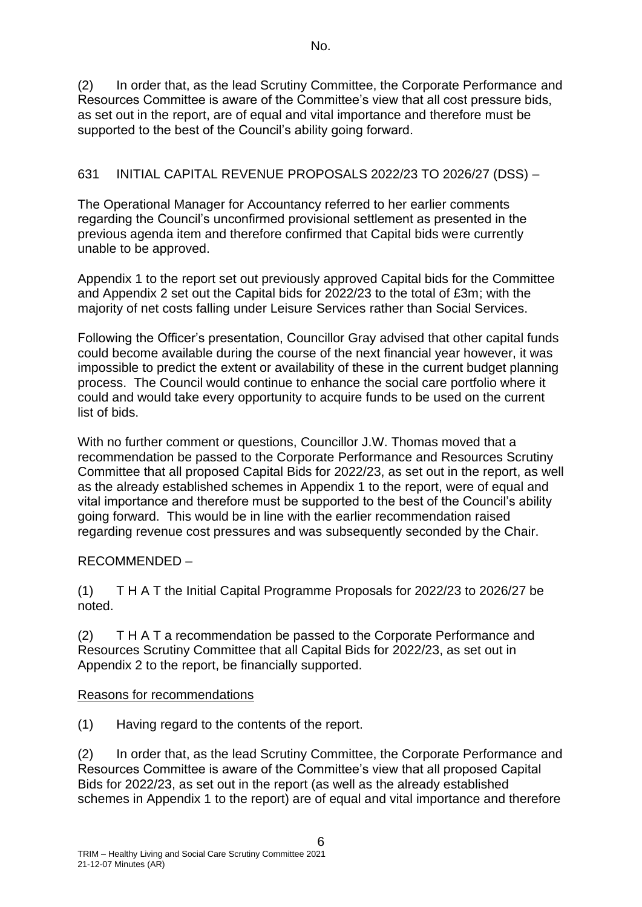(2) In order that, as the lead Scrutiny Committee, the Corporate Performance and Resources Committee is aware of the Committee's view that all cost pressure bids, as set out in the report, are of equal and vital importance and therefore must be supported to the best of the Council's ability going forward.

## 631 INITIAL CAPITAL REVENUE PROPOSALS 2022/23 TO 2026/27 (DSS) –

The Operational Manager for Accountancy referred to her earlier comments regarding the Council's unconfirmed provisional settlement as presented in the previous agenda item and therefore confirmed that Capital bids were currently unable to be approved.

Appendix 1 to the report set out previously approved Capital bids for the Committee and Appendix 2 set out the Capital bids for 2022/23 to the total of £3m; with the majority of net costs falling under Leisure Services rather than Social Services.

Following the Officer's presentation, Councillor Gray advised that other capital funds could become available during the course of the next financial year however, it was impossible to predict the extent or availability of these in the current budget planning process. The Council would continue to enhance the social care portfolio where it could and would take every opportunity to acquire funds to be used on the current list of bids.

With no further comment or questions, Councillor J.W. Thomas moved that a recommendation be passed to the Corporate Performance and Resources Scrutiny Committee that all proposed Capital Bids for 2022/23, as set out in the report, as well as the already established schemes in Appendix 1 to the report, were of equal and vital importance and therefore must be supported to the best of the Council's ability going forward. This would be in line with the earlier recommendation raised regarding revenue cost pressures and was subsequently seconded by the Chair.

# RECOMMENDED –

(1) T H A T the Initial Capital Programme Proposals for 2022/23 to 2026/27 be noted.

(2) T H A T a recommendation be passed to the Corporate Performance and Resources Scrutiny Committee that all Capital Bids for 2022/23, as set out in Appendix 2 to the report, be financially supported.

## Reasons for recommendations

(1) Having regard to the contents of the report.

(2) In order that, as the lead Scrutiny Committee, the Corporate Performance and Resources Committee is aware of the Committee's view that all proposed Capital Bids for 2022/23, as set out in the report (as well as the already established schemes in Appendix 1 to the report) are of equal and vital importance and therefore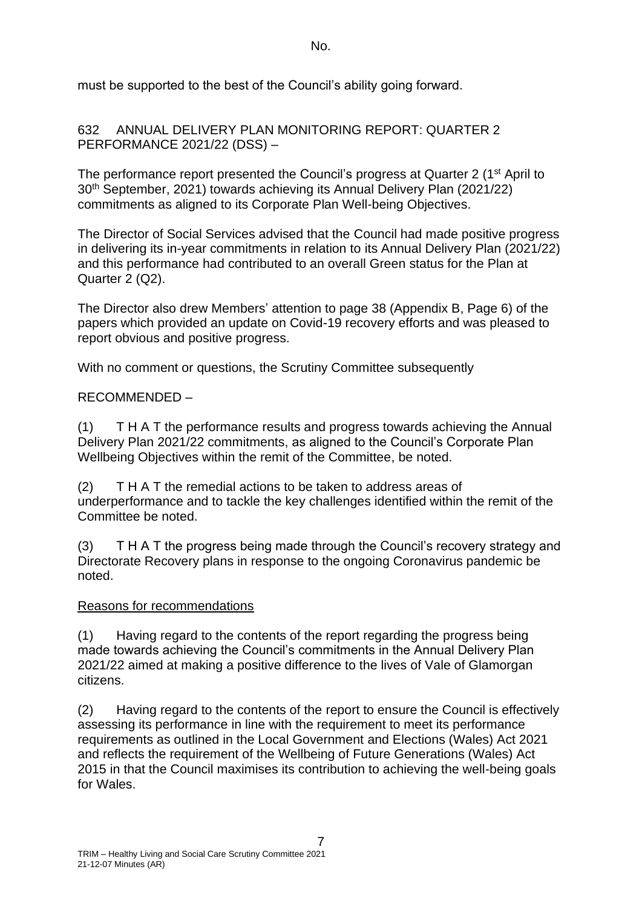No.

must be supported to the best of the Council's ability going forward.

632 ANNUAL DELIVERY PLAN MONITORING REPORT: QUARTER 2 PERFORMANCE 2021/22 (DSS) –

The performance report presented the Council's progress at Quarter 2 (1<sup>st</sup> April to 30th September, 2021) towards achieving its Annual Delivery Plan (2021/22) commitments as aligned to its Corporate Plan Well-being Objectives.

The Director of Social Services advised that the Council had made positive progress in delivering its in-year commitments in relation to its Annual Delivery Plan (2021/22) and this performance had contributed to an overall Green status for the Plan at Quarter 2 (Q2).

The Director also drew Members' attention to page 38 (Appendix B, Page 6) of the papers which provided an update on Covid-19 recovery efforts and was pleased to report obvious and positive progress.

With no comment or questions, the Scrutiny Committee subsequently

# RECOMMENDED –

(1) T H A T the performance results and progress towards achieving the Annual Delivery Plan 2021/22 commitments, as aligned to the Council's Corporate Plan Wellbeing Objectives within the remit of the Committee, be noted.

(2) T H A T the remedial actions to be taken to address areas of underperformance and to tackle the key challenges identified within the remit of the Committee be noted.

(3) T H A T the progress being made through the Council's recovery strategy and Directorate Recovery plans in response to the ongoing Coronavirus pandemic be noted.

## Reasons for recommendations

(1) Having regard to the contents of the report regarding the progress being made towards achieving the Council's commitments in the Annual Delivery Plan 2021/22 aimed at making a positive difference to the lives of Vale of Glamorgan citizens.

(2) Having regard to the contents of the report to ensure the Council is effectively assessing its performance in line with the requirement to meet its performance requirements as outlined in the Local Government and Elections (Wales) Act 2021 and reflects the requirement of the Wellbeing of Future Generations (Wales) Act 2015 in that the Council maximises its contribution to achieving the well-being goals for Wales.